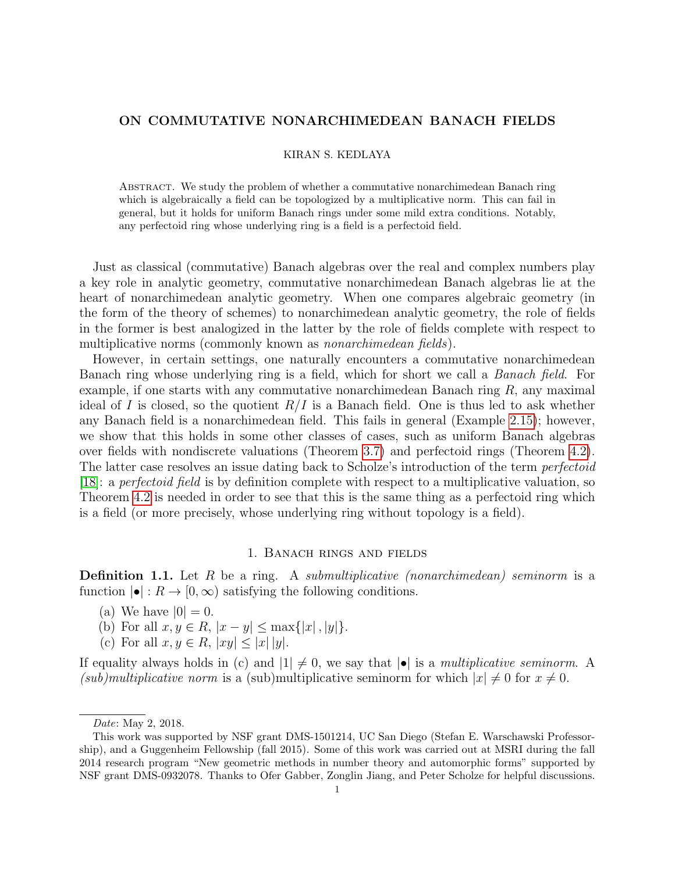# ON COMMUTATIVE NONARCHIMEDEAN BANACH FIELDS

### KIRAN S. KEDLAYA

Abstract. We study the problem of whether a commutative nonarchimedean Banach ring which is algebraically a field can be topologized by a multiplicative norm. This can fail in general, but it holds for uniform Banach rings under some mild extra conditions. Notably, any perfectoid ring whose underlying ring is a field is a perfectoid field.

Just as classical (commutative) Banach algebras over the real and complex numbers play a key role in analytic geometry, commutative nonarchimedean Banach algebras lie at the heart of nonarchimedean analytic geometry. When one compares algebraic geometry (in the form of the theory of schemes) to nonarchimedean analytic geometry, the role of fields in the former is best analogized in the latter by the role of fields complete with respect to multiplicative norms (commonly known as *nonarchimedean fields*).

However, in certain settings, one naturally encounters a commutative nonarchimedean Banach ring whose underlying ring is a field, which for short we call a Banach field. For example, if one starts with any commutative nonarchimedean Banach ring R, any maximal ideal of I is closed, so the quotient  $R/I$  is a Banach field. One is thus led to ask whether any Banach field is a nonarchimedean field. This fails in general (Example [2.15\)](#page-5-0); however, we show that this holds in some other classes of cases, such as uniform Banach algebras over fields with nondiscrete valuations (Theorem [3.7\)](#page-9-0) and perfectoid rings (Theorem [4.2\)](#page-12-0). The latter case resolves an issue dating back to Scholze's introduction of the term *perfectoid* [\[18\]](#page-13-0): a *perfectoid field* is by definition complete with respect to a multiplicative valuation, so Theorem [4.2](#page-12-0) is needed in order to see that this is the same thing as a perfectoid ring which is a field (or more precisely, whose underlying ring without topology is a field).

## 1. Banach rings and fields

**Definition 1.1.** Let R be a ring. A *submultiplicative (nonarchimedean) seminorm* is a function  $|\bullet| : R \to [0, \infty)$  satisfying the following conditions.

- (a) We have  $|0| = 0$ .
- (b) For all  $x, y \in R$ ,  $|x y| \le \max\{|x|, |y|\}.$
- (c) For all  $x, y \in R$ ,  $|xy| \leq |x| |y|$ .

If equality always holds in (c) and  $|1| \neq 0$ , we say that  $|\bullet|$  is a *multiplicative seminorm*. A (sub)multiplicative norm is a (sub)multiplicative seminorm for which  $|x| \neq 0$  for  $x \neq 0$ .

Date: May 2, 2018.

This work was supported by NSF grant DMS-1501214, UC San Diego (Stefan E. Warschawski Professorship), and a Guggenheim Fellowship (fall 2015). Some of this work was carried out at MSRI during the fall 2014 research program "New geometric methods in number theory and automorphic forms" supported by NSF grant DMS-0932078. Thanks to Ofer Gabber, Zonglin Jiang, and Peter Scholze for helpful discussions.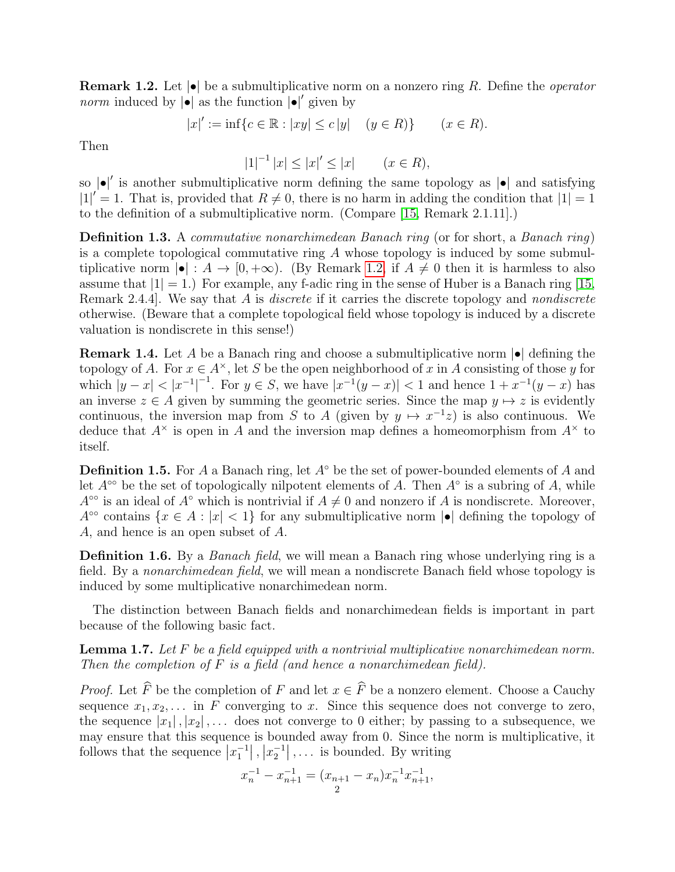<span id="page-1-0"></span>**Remark 1.2.** Let  $|\bullet|$  be a submultiplicative norm on a nonzero ring R. Define the *operator norm* induced by  $|\bullet|$  as the function  $|\bullet|'$  given by

$$
|x|' := \inf\{c \in \mathbb{R} : |xy| \le c|y| \quad (y \in R)\}\
$$
  $(x \in R).$ 

Then

 $|1|^{-1} |x| \le |x|' \le |x|$   $(x \in R)$ ,

so  $|\bullet|'$  is another submultiplicative norm defining the same topology as  $|\bullet|$  and satisfying  $|1|' = 1$ . That is, provided that  $R \neq 0$ , there is no harm in adding the condition that  $|1| = 1$ to the definition of a submultiplicative norm. (Compare [\[15,](#page-13-1) Remark 2.1.11].)

Definition 1.3. A commutative nonarchimedean Banach ring (or for short, a Banach ring) is a complete topological commutative ring  $A$  whose topology is induced by some submultiplicative norm  $|\bullet| : A \to [0, +\infty)$ . (By Remark [1.2,](#page-1-0) if  $A \neq 0$  then it is harmless to also assume that  $|1| = 1$ .) For example, any f-adic ring in the sense of Huber is a Banach ring [\[15,](#page-13-1) Remark 2.4.4. We say that A is *discrete* if it carries the discrete topology and *nondiscrete* otherwise. (Beware that a complete topological field whose topology is induced by a discrete valuation is nondiscrete in this sense!)

**Remark 1.4.** Let A be a Banach ring and choose a submultiplicative norm  $|\bullet|$  defining the topology of A. For  $x \in A^{\times}$ , let S be the open neighborhood of x in A consisting of those y for which  $|y-x| < |x^{-1}|^{-1}$ . For  $y \in S$ , we have  $|x^{-1}(y-x)| < 1$  and hence  $1 + x^{-1}(y-x)$  has an inverse  $z \in A$  given by summing the geometric series. Since the map  $y \mapsto z$  is evidently continuous, the inversion map from S to A (given by  $y \mapsto x^{-1}z$ ) is also continuous. We deduce that  $A^{\times}$  is open in A and the inversion map defines a homeomorphism from  $A^{\times}$  to itself.

**Definition 1.5.** For A a Banach ring, let  $A^{\circ}$  be the set of power-bounded elements of A and let  $A^{\circ\circ}$  be the set of topologically nilpotent elements of A. Then  $A^{\circ}$  is a subring of A, while  $A^{\circ\circ}$  is an ideal of  $A^{\circ}$  which is nontrivial if  $A \neq 0$  and nonzero if A is nondiscrete. Moreover,  $A^{\circ\circ}$  contains  $\{x \in A : |x| < 1\}$  for any submultiplicative norm  $|\bullet|$  defining the topology of A, and hence is an open subset of A.

**Definition 1.6.** By a *Banach field*, we will mean a Banach ring whose underlying ring is a field. By a *nonarchimedean field*, we will mean a nondiscrete Banach field whose topology is induced by some multiplicative nonarchimedean norm.

The distinction between Banach fields and nonarchimedean fields is important in part because of the following basic fact.

<span id="page-1-1"></span>**Lemma 1.7.** Let  $F$  be a field equipped with a nontrivial multiplicative nonarchimedean norm. Then the completion of  $F$  is a field (and hence a nonarchimedean field).

*Proof.* Let  $\widehat{F}$  be the completion of F and let  $x \in \widehat{F}$  be a nonzero element. Choose a Cauchy sequence  $x_1, x_2, \ldots$  in F converging to x. Since this sequence does not converge to zero, the sequence  $|x_1|, |x_2|, \ldots$  does not converge to 0 either; by passing to a subsequence, we may ensure that this sequence is bounded away from 0. Since the norm is multiplicative, it follows that the sequence  $|x_1^{-1}|, |x_2^{-1}|, \ldots$  is bounded. By writing

$$
x_n^{-1} - x_{n+1}^{-1} = (x_{n+1} - x_n)x_n^{-1}x_{n+1}^{-1},
$$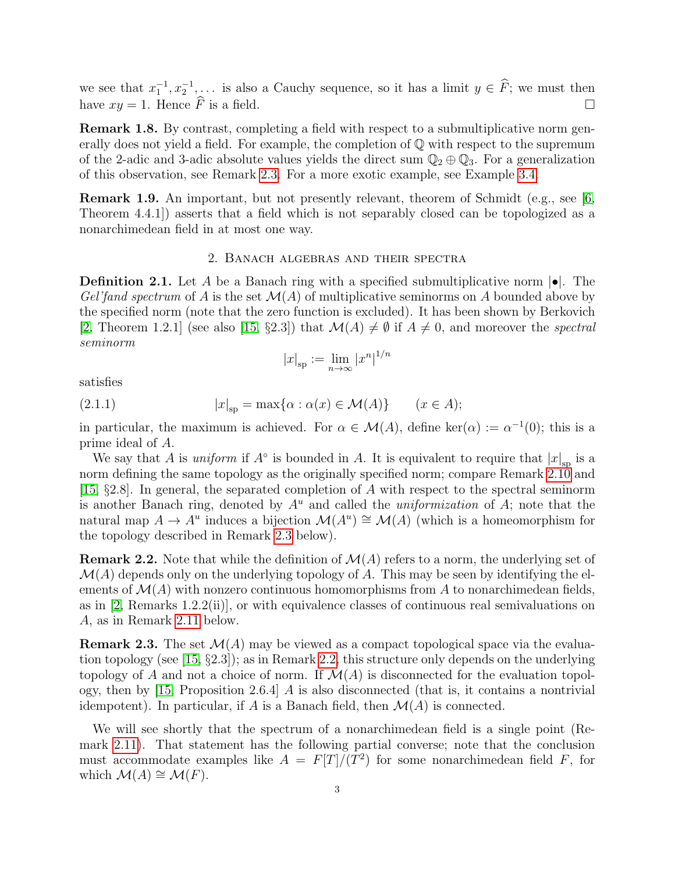we see that  $x_1^{-1}, x_2^{-1}, \ldots$  is also a Cauchy sequence, so it has a limit  $y \in \widehat{F}$ ; we must then have  $xy = 1$ . Hence  $\widehat{F}$  is a field.

Remark 1.8. By contrast, completing a field with respect to a submultiplicative norm generally does not yield a field. For example, the completion of Q with respect to the supremum of the 2-adic and 3-adic absolute values yields the direct sum  $\mathbb{Q}_2 \oplus \mathbb{Q}_3$ . For a generalization of this observation, see Remark [2.3.](#page-2-0) For a more exotic example, see Example [3.4.](#page-7-0)

Remark 1.9. An important, but not presently relevant, theorem of Schmidt (e.g., see [\[6,](#page-13-2) Theorem 4.4.1]) asserts that a field which is not separably closed can be topologized as a nonarchimedean field in at most one way.

#### 2. Banach algebras and their spectra

**Definition 2.1.** Let A be a Banach ring with a specified submultiplicative norm  $\bullet$ . The Gel'fand spectrum of A is the set  $\mathcal{M}(A)$  of multiplicative seminorms on A bounded above by the specified norm (note that the zero function is excluded). It has been shown by Berkovich [\[2,](#page-13-3) Theorem 1.2.1] (see also [\[15,](#page-13-1) §2.3]) that  $\mathcal{M}(A) \neq \emptyset$  if  $A \neq 0$ , and moreover the spectral seminorm

<span id="page-2-2"></span>
$$
|x|_{\rm sp} := \lim_{n \to \infty} |x^n|^{1/n}
$$

satisfies

(2.1.1) 
$$
|x|_{\rm sp} = \max\{\alpha : \alpha(x) \in \mathcal{M}(A)\} \qquad (x \in A);
$$

in particular, the maximum is achieved. For  $\alpha \in \mathcal{M}(A)$ , define ker $(\alpha) := \alpha^{-1}(0)$ ; this is a prime ideal of A.

We say that A is *uniform* if  $A^{\circ}$  is bounded in A. It is equivalent to require that  $|x|_{\text{sp}}$  is a norm defining the same topology as the originally specified norm; compare Remark [2.10](#page-4-0) and [\[15,](#page-13-1)  $\S 2.8$ ]. In general, the separated completion of A with respect to the spectral seminorm is another Banach ring, denoted by  $A^u$  and called the *uniformization* of A; note that the natural map  $A \to A^u$  induces a bijection  $\mathcal{M}(A^u) \cong \mathcal{M}(A)$  (which is a homeomorphism for the topology described in Remark [2.3](#page-2-0) below).

<span id="page-2-1"></span>**Remark 2.2.** Note that while the definition of  $\mathcal{M}(A)$  refers to a norm, the underlying set of  $\mathcal{M}(A)$  depends only on the underlying topology of A. This may be seen by identifying the elements of  $\mathcal{M}(A)$  with nonzero continuous homomorphisms from A to nonarchimedean fields, as in  $[2,$  Remarks 1.2.2(ii), or with equivalence classes of continuous real semivaluations on A, as in Remark [2.11](#page-4-1) below.

<span id="page-2-0"></span>**Remark 2.3.** The set  $\mathcal{M}(A)$  may be viewed as a compact topological space via the evaluation topology (see [\[15,](#page-13-1) §2.3]); as in Remark [2.2,](#page-2-1) this structure only depends on the underlying topology of A and not a choice of norm. If  $\mathcal{M}(A)$  is disconnected for the evaluation topol-ogy, then by [\[15,](#page-13-1) Proposition 2.6.4]  $\hat{A}$  is also disconnected (that is, it contains a nontrivial idempotent). In particular, if A is a Banach field, then  $\mathcal{M}(A)$  is connected.

We will see shortly that the spectrum of a nonarchimedean field is a single point (Remark [2.11\)](#page-4-1). That statement has the following partial converse; note that the conclusion must accommodate examples like  $A = F[T]/(T^2)$  for some nonarchimedean field F, for which  $\mathcal{M}(A) \cong \mathcal{M}(F)$ .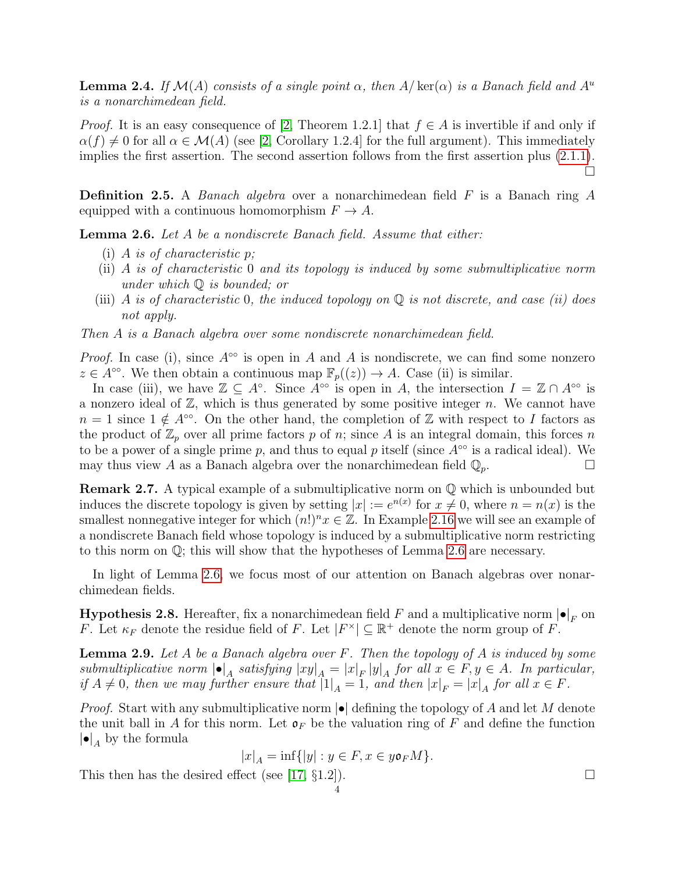<span id="page-3-2"></span>**Lemma 2.4.** If  $\mathcal{M}(A)$  consists of a single point  $\alpha$ , then  $A/\text{ker}(\alpha)$  is a Banach field and  $A^u$ is a nonarchimedean field.

*Proof.* It is an easy consequence of [\[2,](#page-13-3) Theorem 1.2.1] that  $f \in A$  is invertible if and only if  $\alpha(f) \neq 0$  for all  $\alpha \in \mathcal{M}(A)$  (see [\[2,](#page-13-3) Corollary 1.2.4] for the full argument). This immediately implies the first assertion. The second assertion follows from the first assertion plus [\(2.1.1\)](#page-2-2). □

**Definition 2.5.** A *Banach algebra* over a nonarchimedean field  $F$  is a Banach ring  $A$ equipped with a continuous homomorphism  $F \to A$ .

<span id="page-3-0"></span>**Lemma 2.6.** Let A be a nondiscrete Banach field. Assume that either:

- (i) A is of characteristic p;
- (ii) A is of characteristic 0 and its topology is induced by some submultiplicative norm under which Q is bounded; or
- (iii) A is of characteristic 0, the induced topology on  $\mathbb Q$  is not discrete, and case (ii) does not apply.

Then A is a Banach algebra over some nondiscrete nonarchimedean field.

*Proof.* In case (i), since  $A^{\circ\circ}$  is open in A and A is nondiscrete, we can find some nonzero  $z \in A^{\infty}$ . We then obtain a continuous map  $\mathbb{F}_p((z)) \to A$ . Case (ii) is similar.

In case (iii), we have  $\mathbb{Z} \subseteq A^{\circ}$ . Since  $A^{\circ\circ}$  is open in A, the intersection  $I = \mathbb{Z} \cap A^{\circ\circ}$  is a nonzero ideal of  $\mathbb{Z}$ , which is thus generated by some positive integer n. We cannot have  $n = 1$  since  $1 \notin A<sup>oo</sup>$ . On the other hand, the completion of Z with respect to I factors as the product of  $\mathbb{Z}_p$  over all prime factors p of n; since A is an integral domain, this forces n to be a power of a single prime p, and thus to equal p itself (since  $A^{\circ\circ}$  is a radical ideal). We may thus view A as a Banach algebra over the nonarchimedean field  $\mathbb{Q}_p$ .

Remark 2.7. A typical example of a submultiplicative norm on Q which is unbounded but induces the discrete topology is given by setting  $|x| := e^{n(x)}$  for  $x \neq 0$ , where  $n = n(x)$  is the smallest nonnegative integer for which  $(n!)^nx \in \mathbb{Z}$ . In Example [2.16](#page-6-0) we will see an example of a nondiscrete Banach field whose topology is induced by a submultiplicative norm restricting to this norm on  $\mathbb{Q}$ ; this will show that the hypotheses of Lemma [2.6](#page-3-0) are necessary.

In light of Lemma [2.6,](#page-3-0) we focus most of our attention on Banach algebras over nonarchimedean fields.

**Hypothesis 2.8.** Hereafter, fix a nonarchimedean field F and a multiplicative norm  $|\bullet|_F$  on F. Let  $\kappa_F$  denote the residue field of F. Let  $|F^{\times}| \subseteq \mathbb{R}^+$  denote the norm group of F.

<span id="page-3-1"></span>**Lemma 2.9.** Let A be a Banach algebra over F. Then the topology of A is induced by some submultiplicative norm  $|\bullet|_A$  satisfying  $|xy|_A = |x|_F |y|_A$  for all  $x \in F, y \in A$ . In particular, if  $A \neq 0$ , then we may further ensure that  $|1|_A = 1$ , and then  $|x|_F = |x|_A$  for all  $x \in F$ .

*Proof.* Start with any submultiplicative norm  $|\bullet|$  defining the topology of A and let M denote the unit ball in A for this norm. Let  $\mathfrak{o}_F$  be the valuation ring of F and define the function  $|\bullet|_A$  by the formula

$$
|x|_A = \inf\{|y| : y \in F, x \in y\mathfrak{o}_F M\}.
$$

This then has the desired effect (see [\[17,](#page-13-4)  $\S 1.2$ ]).

$$
\overline{4}
$$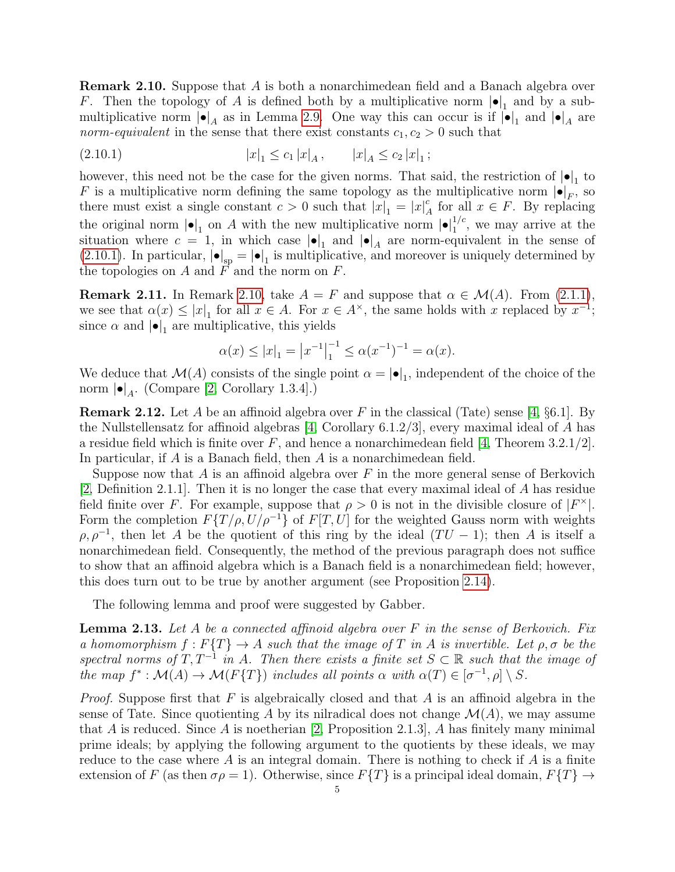<span id="page-4-0"></span>Remark 2.10. Suppose that A is both a nonarchimedean field and a Banach algebra over F. Then the topology of A is defined both by a multiplicative norm  $|\bullet|_1$  and by a submultiplicative norm  $|\bullet|_A$  as in Lemma [2.9.](#page-3-1) One way this can occur is if  $|\bullet|_1$  and  $|\bullet|_A$  are norm-equivalent in the sense that there exist constants  $c_1, c_2 > 0$  such that

<span id="page-4-2"></span>
$$
|x|_1 \le c_1 |x|_A, \qquad |x|_A \le c_2 |x|_1;
$$

however, this need not be the case for the given norms. That said, the restriction of  $|\bullet|_1$  to F is a multiplicative norm defining the same topology as the multiplicative norm  $|\bullet|_F$ , so there must exist a single constant  $c > 0$  such that  $|\vec{x}|_1 = |x|^c$  $_{A}^{c}$  for all  $x \in F$ . By replacing the original norm  $|\bullet|_1$  on A with the new multiplicative norm  $|\bullet|_1^{1/c}$ , we may arrive at the situation where  $c = 1$ , in which case  $|\bullet|_1$  and  $|\bullet|_A$  are norm-equivalent in the sense of [\(2.10.1\)](#page-4-2). In particular,  $|\bullet|_{sp} = |\bullet|_1$  is multiplicative, and moreover is uniquely determined by the topologies on  $A$  and  $\overline{F}$  and the norm on  $\overline{F}$ .

<span id="page-4-1"></span>**Remark 2.11.** In Remark [2.10,](#page-4-0) take  $A = F$  and suppose that  $\alpha \in \mathcal{M}(A)$ . From [\(2.1.1\)](#page-2-2), we see that  $\alpha(x) \leq |x|_1$  for all  $x \in A$ . For  $x \in A^{\times}$ , the same holds with x replaced by  $x^{-1}$ ; since  $\alpha$  and  $|\bullet|_1$  are multiplicative, this yields

$$
\alpha(x) \le |x|_1 = |x^{-1}|_1^{-1} \le \alpha (x^{-1})^{-1} = \alpha(x).
$$

We deduce that  $\mathcal{M}(A)$  consists of the single point  $\alpha = |\bullet|_1$ , independent of the choice of the norm  $| \bullet |_A$ . (Compare [\[2,](#page-13-3) Corollary 1.3.4].)

<span id="page-4-4"></span>**Remark 2.12.** Let A be an affinoid algebra over F in the classical (Tate) sense [\[4,](#page-13-5)  $\S 6.1$ ]. By the Nullstellensatz for affinoid algebras [\[4,](#page-13-5) Corollary 6.1.2/3], every maximal ideal of A has a residue field which is finite over  $F$ , and hence a nonarchimedean field [\[4,](#page-13-5) Theorem 3.2.1/2]. In particular, if A is a Banach field, then A is a nonarchimedean field.

Suppose now that A is an affinoid algebra over  $F$  in the more general sense of Berkovich [\[2,](#page-13-3) Definition 2.1.1]. Then it is no longer the case that every maximal ideal of A has residue field finite over F. For example, suppose that  $\rho > 0$  is not in the divisible closure of  $|F^*|$ . Form the completion  $F\{T/\rho, U/\rho^{-1}\}\$  of  $F[T, U]$  for the weighted Gauss norm with weights  $\rho, \rho^{-1}$ , then let A be the quotient of this ring by the ideal  $(TU - 1)$ ; then A is itself a nonarchimedean field. Consequently, the method of the previous paragraph does not suffice to show that an affinoid algebra which is a Banach field is a nonarchimedean field; however, this does turn out to be true by another argument (see Proposition [2.14\)](#page-5-1).

The following lemma and proof were suggested by Gabber.

<span id="page-4-3"></span>**Lemma 2.13.** Let A be a connected affinoid algebra over  $F$  in the sense of Berkovich. Fix a homomorphism  $f : F\{T\} \to A$  such that the image of T in A is invertible. Let  $\rho, \sigma$  be the spectral norms of T,  $T^{-1}$  in A. Then there exists a finite set  $S \subset \mathbb{R}$  such that the image of the map  $f^*: \mathcal{M}(A) \to \mathcal{M}(F\{T\})$  includes all points  $\alpha$  with  $\alpha(T) \in [\sigma^{-1}, \rho] \setminus S$ .

*Proof.* Suppose first that F is algebraically closed and that A is an affinoid algebra in the sense of Tate. Since quotienting A by its nilradical does not change  $\mathcal{M}(A)$ , we may assume that A is reduced. Since A is noetherian [\[2,](#page-13-3) Proposition 2.1.3], A has finitely many minimal prime ideals; by applying the following argument to the quotients by these ideals, we may reduce to the case where  $A$  is an integral domain. There is nothing to check if  $A$  is a finite extension of F (as then  $\sigma \rho = 1$ ). Otherwise, since  $F\{T\}$  is a principal ideal domain,  $F\{T\} \rightarrow$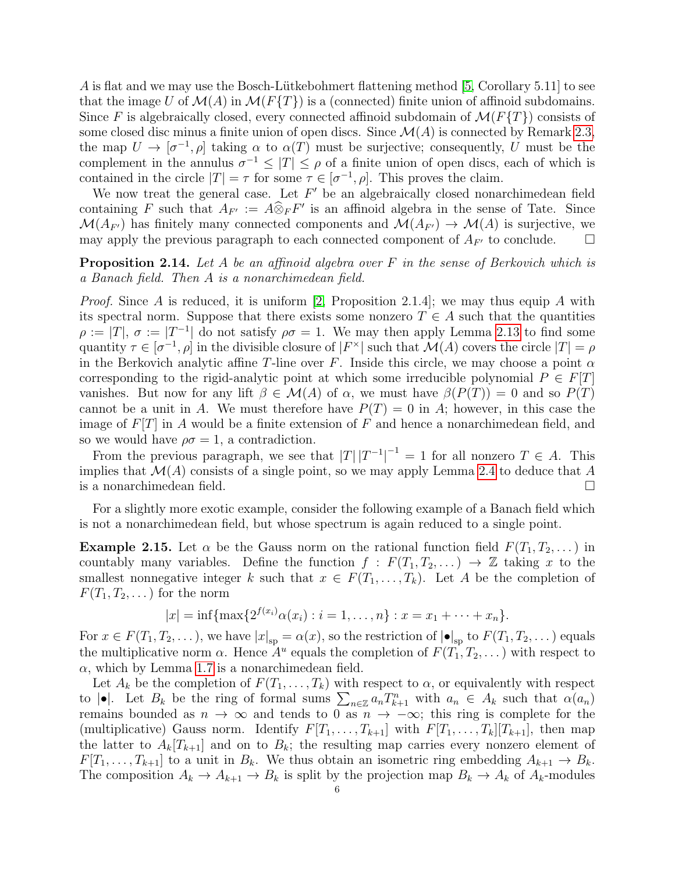A is flat and we may use the Bosch-Lütkebohmert flattening method [\[5,](#page-13-6) Corollary 5.11] to see that the image U of  $\mathcal{M}(A)$  in  $\mathcal{M}(F\{T\})$  is a (connected) finite union of affinoid subdomains. Since F is algebraically closed, every connected affinoid subdomain of  $\mathcal{M}(F\{T\})$  consists of some closed disc minus a finite union of open discs. Since  $\mathcal{M}(A)$  is connected by Remark [2.3,](#page-2-0) the map  $U \to [\sigma^{-1}, \rho]$  taking  $\alpha$  to  $\alpha(T)$  must be surjective; consequently, U must be the complement in the annulus  $\sigma^{-1} \leq |T| \leq \rho$  of a finite union of open discs, each of which is contained in the circle  $|T| = \tau$  for some  $\tau \in [\sigma^{-1}, \rho]$ . This proves the claim.

We now treat the general case. Let  $F'$  be an algebraically closed nonarchimedean field containing F such that  $A_{F'} := A \widehat{\otimes}_F F'$  is an affinoid algebra in the sense of Tate. Since  $\mathcal{M}(A_{F'})$  has finitely many connected components and  $\mathcal{M}(A_{F'}) \to \mathcal{M}(A)$  is surjective, we may apply the previous paragraph to each connected component of  $A_{F'}$  to conclude.  $\Box$ 

<span id="page-5-1"></span>**Proposition 2.14.** Let A be an affinoid algebra over F in the sense of Berkovich which is a Banach field. Then A is a nonarchimedean field.

*Proof.* Since A is reduced, it is uniform [\[2,](#page-13-3) Proposition 2.1.4]; we may thus equip A with its spectral norm. Suppose that there exists some nonzero  $T \in A$  such that the quantities  $\rho := |T|, \sigma := |T^{-1}|$  do not satisfy  $\rho \sigma = 1$ . We may then apply Lemma [2.13](#page-4-3) to find some quantity  $\tau \in [\sigma^{-1}, \rho]$  in the divisible closure of  $|F^{\times}|$  such that  $\mathcal{M}(A)$  covers the circle  $|T| = \rho$ in the Berkovich analytic affine T-line over F. Inside this circle, we may choose a point  $\alpha$ corresponding to the rigid-analytic point at which some irreducible polynomial  $P \in F[T]$ vanishes. But now for any lift  $\beta \in \mathcal{M}(A)$  of  $\alpha$ , we must have  $\beta(P(T)) = 0$  and so  $P(T)$ cannot be a unit in A. We must therefore have  $P(T) = 0$  in A; however, in this case the image of  $F[T]$  in A would be a finite extension of F and hence a nonarchimedean field, and so we would have  $\rho \sigma = 1$ , a contradiction.

From the previous paragraph, we see that  $|T| |T^{-1}|^{-1} = 1$  for all nonzero  $T \in A$ . This implies that  $\mathcal{M}(A)$  consists of a single point, so we may apply Lemma [2.4](#page-3-2) to deduce that A is a nonarchimedean field.  $\Box$ 

For a slightly more exotic example, consider the following example of a Banach field which is not a nonarchimedean field, but whose spectrum is again reduced to a single point.

<span id="page-5-0"></span>**Example 2.15.** Let  $\alpha$  be the Gauss norm on the rational function field  $F(T_1, T_2, \dots)$  in countably many variables. Define the function  $f : F(T_1, T_2, ...) \rightarrow \mathbb{Z}$  taking x to the smallest nonnegative integer k such that  $x \in F(T_1, \ldots, T_k)$ . Let A be the completion of  $F(T_1, T_2, \dots)$  for the norm

$$
|x| = \inf \{ \max \{ 2^{f(x_i)} \alpha(x_i) : i = 1, ..., n \} : x = x_1 + \dots + x_n \}.
$$

For  $x \in F(T_1, T_2, \ldots)$ , we have  $|x|_{\rm sp} = \alpha(x)$ , so the restriction of  $| \bullet |_{\rm sp}$  to  $F(T_1, T_2, \ldots)$  equals the multiplicative norm  $\alpha$ . Hence  $A^u$  equals the completion of  $F(T_1, T_2, ...)$  with respect to  $\alpha$ , which by Lemma [1.7](#page-1-1) is a nonarchimedean field.

Let  $A_k$  be the completion of  $F(T_1, \ldots, T_k)$  with respect to  $\alpha$ , or equivalently with respect to  $|\bullet|$ . Let  $B_k$  be the ring of formal sums  $\sum_{n\in\mathbb{Z}} a_n T_{k+1}^n$  with  $a_n \in A_k$  such that  $\alpha(a_n)$ remains bounded as  $n \to \infty$  and tends to 0 as  $n \to -\infty$ ; this ring is complete for the (multiplicative) Gauss norm. Identify  $F[T_1, \ldots, T_{k+1}]$  with  $F[T_1, \ldots, T_k][T_{k+1}]$ , then map the latter to  $A_k[T_{k+1}]$  and on to  $B_k$ ; the resulting map carries every nonzero element of  $F[T_1, \ldots, T_{k+1}]$  to a unit in  $B_k$ . We thus obtain an isometric ring embedding  $A_{k+1} \to B_k$ . The composition  $A_k \to A_{k+1} \to B_k$  is split by the projection map  $B_k \to A_k$  of  $A_k$ -modules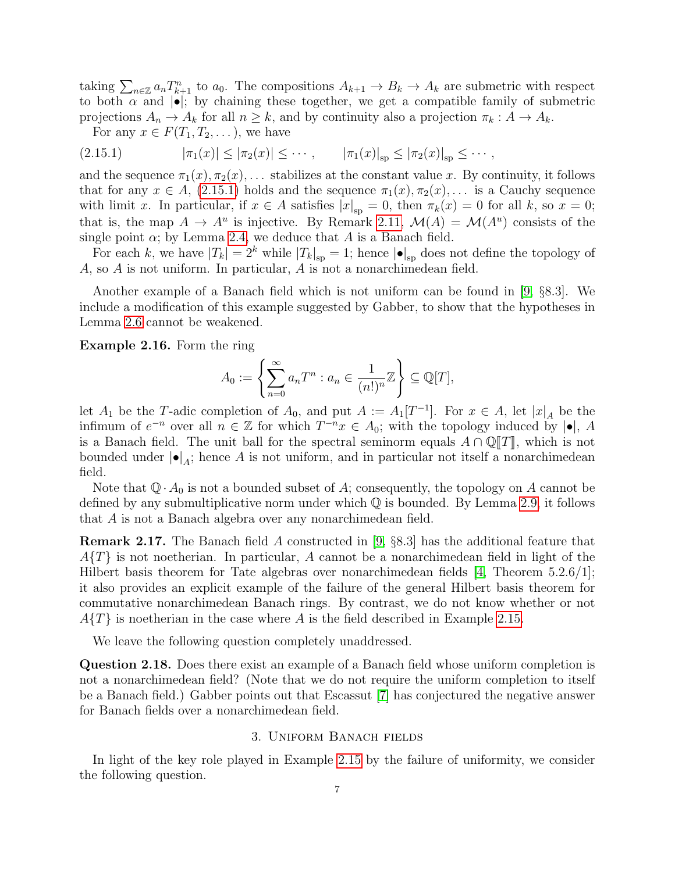taking  $\sum_{n\in\mathbb{Z}} a_n T_{k+1}^n$  to  $a_0$ . The compositions  $A_{k+1} \to B_k \to A_k$  are submetric with respect to both  $\alpha$  and  $|\bullet|$ ; by chaining these together, we get a compatible family of submetric projections  $A_n \to A_k$  for all  $n \geq k$ , and by continuity also a projection  $\pi_k : A \to A_k$ .

<span id="page-6-1"></span>For any  $x \in F(T_1, T_2, \ldots)$ , we have

$$
(2.15.1) \t\t |\pi_1(x)| \leq |\pi_2(x)| \leq \cdots, \t |\pi_1(x)|_{\rm sp} \leq |\pi_2(x)|_{\rm sp} \leq \cdots,
$$

and the sequence  $\pi_1(x), \pi_2(x), \ldots$  stabilizes at the constant value x. By continuity, it follows that for any  $x \in A$ , [\(2.15.1\)](#page-6-1) holds and the sequence  $\pi_1(x), \pi_2(x), \ldots$  is a Cauchy sequence with limit x. In particular, if  $x \in A$  satisfies  $|x|_{\text{sp}} = 0$ , then  $\pi_k(x) = 0$  for all k, so  $x = 0$ ; that is, the map  $A \to A^u$  is injective. By Remark [2.11,](#page-4-1)  $\mathcal{M}(A) = \mathcal{M}(A^u)$  consists of the single point  $\alpha$ ; by Lemma [2.4,](#page-3-2) we deduce that A is a Banach field.

For each k, we have  $|T_k| = 2^k$  while  $|T_k|_{\rm sp} = 1$ ; hence  $|\bullet|_{\rm sp}$  does not define the topology of A, so A is not uniform. In particular,  $\overline{A}$  is not a nonarchimedean field.

Another example of a Banach field which is not uniform can be found in [\[9,](#page-13-7) §8.3]. We include a modification of this example suggested by Gabber, to show that the hypotheses in Lemma [2.6](#page-3-0) cannot be weakened.

<span id="page-6-0"></span>Example 2.16. Form the ring

$$
A_0 := \left\{ \sum_{n=0}^{\infty} a_n T^n : a_n \in \frac{1}{(n!)^n} \mathbb{Z} \right\} \subseteq \mathbb{Q}[T],
$$

let  $A_1$  be the T-adic completion of  $A_0$ , and put  $A := A_1[T^{-1}]$ . For  $x \in A$ , let  $|x|_A$  be the infimum of  $e^{-n}$  over all  $n \in \mathbb{Z}$  for which  $T^{-n}x \in A_0$ ; with the topology induced by  $|\bullet|$ , A is a Banach field. The unit ball for the spectral seminorm equals  $A \cap \mathbb{Q}[T]$ , which is not bounded under  $| \bullet |_A$ ; hence A is not uniform, and in particular not itself a nonarchimedean field.

Note that  $\mathbb{Q} \cdot A_0$  is not a bounded subset of A; consequently, the topology on A cannot be defined by any submultiplicative norm under which  $\mathbb Q$  is bounded. By Lemma [2.9,](#page-3-1) it follows that A is not a Banach algebra over any nonarchimedean field.

**Remark 2.17.** The Banach field A constructed in [\[9,](#page-13-7) §8.3] has the additional feature that  $A\{T\}$  is not noetherian. In particular, A cannot be a nonarchimedean field in light of the Hilbert basis theorem for Tate algebras over nonarchimedean fields [\[4,](#page-13-5) Theorem 5.2.6/1]; it also provides an explicit example of the failure of the general Hilbert basis theorem for commutative nonarchimedean Banach rings. By contrast, we do not know whether or not  $A\{T\}$  is noetherian in the case where A is the field described in Example [2.15.](#page-5-0)

We leave the following question completely unaddressed.

Question 2.18. Does there exist an example of a Banach field whose uniform completion is not a nonarchimedean field? (Note that we do not require the uniform completion to itself be a Banach field.) Gabber points out that Escassut [\[7\]](#page-13-8) has conjectured the negative answer for Banach fields over a nonarchimedean field.

# 3. Uniform Banach fields

In light of the key role played in Example [2.15](#page-5-0) by the failure of uniformity, we consider the following question.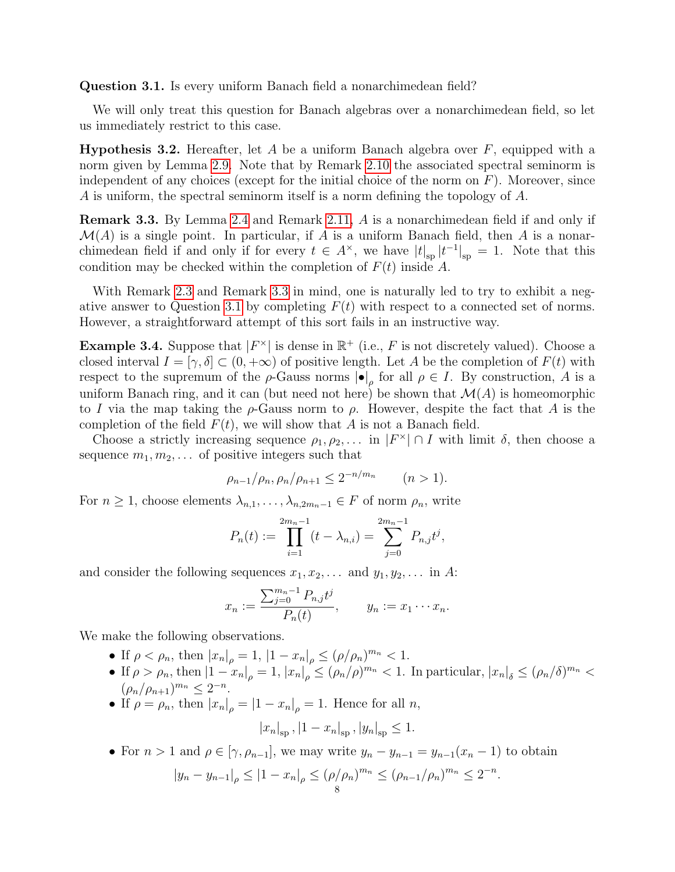<span id="page-7-2"></span>Question 3.1. Is every uniform Banach field a nonarchimedean field?

We will only treat this question for Banach algebras over a nonarchimedean field, so let us immediately restrict to this case.

<span id="page-7-3"></span>**Hypothesis 3.2.** Hereafter, let A be a uniform Banach algebra over  $F$ , equipped with a norm given by Lemma [2.9.](#page-3-1) Note that by Remark [2.10](#page-4-0) the associated spectral seminorm is independent of any choices (except for the initial choice of the norm on  $F$ ). Moreover, since A is uniform, the spectral seminorm itself is a norm defining the topology of A.

<span id="page-7-1"></span>Remark 3.3. By Lemma [2.4](#page-3-2) and Remark [2.11,](#page-4-1) A is a nonarchimedean field if and only if  $\mathcal{M}(A)$  is a single point. In particular, if A is a uniform Banach field, then A is a nonarchimedean field if and only if for every  $t \in A^{\times}$ , we have  $|t|_{sp} |t^{-1}|_{sp} = 1$ . Note that this condition may be checked within the completion of  $F(t)$  inside A.

With Remark [2.3](#page-2-0) and Remark [3.3](#page-7-1) in mind, one is naturally led to try to exhibit a neg-ative answer to Question [3.1](#page-7-2) by completing  $F(t)$  with respect to a connected set of norms. However, a straightforward attempt of this sort fails in an instructive way.

<span id="page-7-0"></span>**Example 3.4.** Suppose that  $|F^{\times}|$  is dense in  $\mathbb{R}^{+}$  (i.e., F is not discretely valued). Choose a closed interval  $I = [\gamma, \delta] \subset (0, +\infty)$  of positive length. Let A be the completion of  $F(t)$  with respect to the supremum of the  $\rho$ -Gauss norms  $|\bullet|_{\rho}$  for all  $\rho \in I$ . By construction, A is a uniform Banach ring, and it can (but need not here) be shown that  $\mathcal{M}(A)$  is homeomorphic to I via the map taking the  $\rho$ -Gauss norm to  $\rho$ . However, despite the fact that A is the completion of the field  $F(t)$ , we will show that A is not a Banach field.

Choose a strictly increasing sequence  $\rho_1, \rho_2, \ldots$  in  $|F^{\times}| \cap I$  with limit  $\delta$ , then choose a sequence  $m_1, m_2, \ldots$  of positive integers such that

$$
\rho_{n-1}/\rho_n, \rho_n/\rho_{n+1} \le 2^{-n/m_n} \qquad (n>1).
$$

For  $n \geq 1$ , choose elements  $\lambda_{n,1}, \ldots, \lambda_{n,2m_n-1} \in F$  of norm  $\rho_n$ , write

$$
P_n(t) := \prod_{i=1}^{2m_n-1} (t - \lambda_{n,i}) = \sum_{j=0}^{2m_n-1} P_{n,j} t^j,
$$

and consider the following sequences  $x_1, x_2, \ldots$  and  $y_1, y_2, \ldots$  in A:

$$
x_n := \frac{\sum_{j=0}^{m_n-1} P_{n,j} t^j}{P_n(t)}, \qquad y_n := x_1 \cdots x_n.
$$

We make the following observations.

- If  $\rho < \rho_n$ , then  $|x_n|_{\rho} = 1$ ,  $|1 x_n|_{\rho} \leq (\rho/\rho_n)^{m_n} < 1$ .
- If  $\rho > \rho_n$ , then  $|1-x_n|_{\rho} = 1$ ,  $|x_n|_{\rho} \leq (\rho_n/\rho)^{m_n} < 1$ . In particular,  $|x_n|_{\delta} \leq (\rho_n/\delta)^{m_n} <$  $(\rho_n/\rho_{n+1})^{m_n} \leq 2^{-n}.$
- If  $\rho = \rho_n$ , then  $|x_n|_{\rho} = |1 x_n|_{\rho} = 1$ . Hence for all n,

$$
|x_n|_{\rm sp}
$$
,  $|1 - x_n|_{\rm sp}$ ,  $|y_n|_{\rm sp} \le 1$ .

• For  $n > 1$  and  $\rho \in [\gamma, \rho_{n-1}]$ , we may write  $y_n - y_{n-1} = y_{n-1}(x_n - 1)$  to obtain  $|y_n - y_{n-1}|_\rho \leq |1 - x_n|_\rho \leq (\rho/\rho_n)^{m_n} \leq (\rho_{n-1}/\rho_n)^{m_n} \leq 2^{-n}.$ 8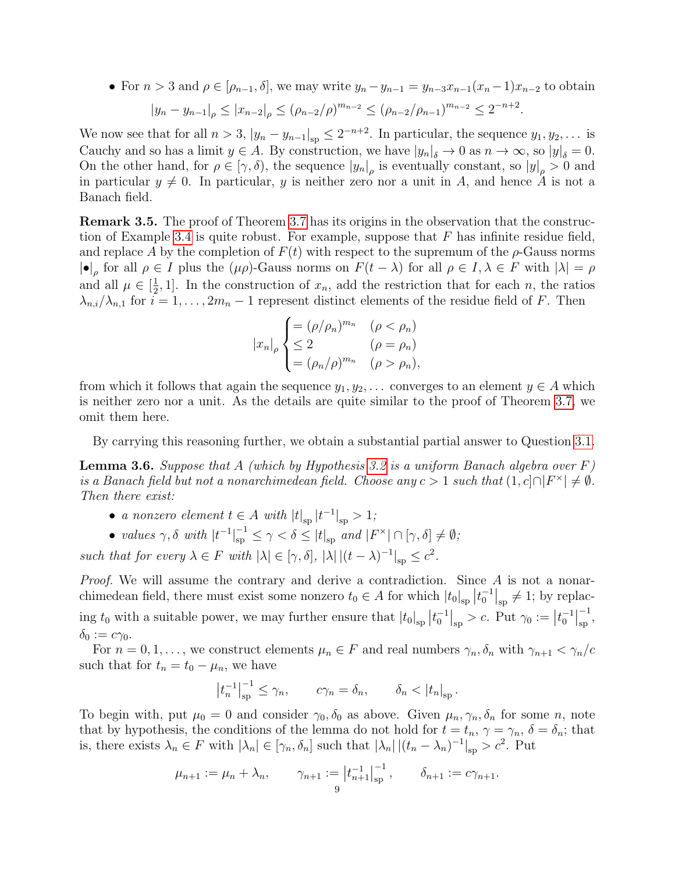• For  $n > 3$  and  $\rho \in [\rho_{n-1}, \delta]$ , we may write  $y_n - y_{n-1} = y_{n-3}x_{n-1}(x_n-1)x_{n-2}$  to obtain  $|y_n - y_{n-1}|_\rho \le |x_{n-2}|_\rho \le (\rho_{n-2}/\rho)^{m_{n-2}} \le (\rho_{n-2}/\rho_{n-1})^{m_{n-2}} \le 2^{-n+2}.$ 

We now see that for all  $n > 3$ ,  $|y_n - y_{n-1}|_{\text{sp}} \leq 2^{-n+2}$ . In particular, the sequence  $y_1, y_2, \ldots$  is Cauchy and so has a limit  $y \in A$ . By construction, we have  $|y_n|_{\delta} \to 0$  as  $n \to \infty$ , so  $|y|_{\delta} = 0$ . On the other hand, for  $\rho \in [\gamma, \delta)$ , the sequence  $|y_n|_{\rho}$  is eventually constant, so  $|y|_{\rho} > 0$  and in particular  $y \neq 0$ . In particular, y is neither zero nor a unit in A, and hence A is not a Banach field.

<span id="page-8-1"></span>Remark 3.5. The proof of Theorem [3.7](#page-9-0) has its origins in the observation that the construc-tion of Example [3.4](#page-7-0) is quite robust. For example, suppose that  $F$  has infinite residue field, and replace A by the completion of  $F(t)$  with respect to the supremum of the  $\rho$ -Gauss norms  $|\bullet|_{\rho}$  for all  $\rho \in I$  plus the  $(\mu \rho)$ -Gauss norms on  $F(t - \lambda)$  for all  $\rho \in I, \lambda \in F$  with  $|\lambda| = \rho$ and all  $\mu \in \left[\frac{1}{2}\right]$  $\frac{1}{2}$ , 1]. In the construction of  $x_n$ , add the restriction that for each n, the ratios  $\lambda_{n,i}/\lambda_{n,1}$  for  $i=1,\ldots,2m_n-1$  represent distinct elements of the residue field of F. Then

$$
|x_n|_{\rho} \begin{cases} = (\rho/\rho_n)^{m_n} & (\rho < \rho_n) \\ \leq 2 & (\rho = \rho_n) \\ = (\rho_n/\rho)^{m_n} & (\rho > \rho_n), \end{cases}
$$

from which it follows that again the sequence  $y_1, y_2, \ldots$  converges to an element  $y \in A$  which is neither zero nor a unit. As the details are quite similar to the proof of Theorem [3.7,](#page-9-0) we omit them here.

By carrying this reasoning further, we obtain a substantial partial answer to Question [3.1.](#page-7-2)

<span id="page-8-0"></span>**Lemma 3.6.** Suppose that A (which by Hypothesis [3.2](#page-7-3) is a uniform Banach algebra over  $F$ ) is a Banach field but not a nonarchimedean field. Choose any  $c > 1$  such that  $(1, c] \cap |F^{\times}| \neq \emptyset$ . Then there exist:

- a nonzero element  $t \in A$  with  $|t|_{\rm sp} |t^{-1}|_{\rm sp} > 1$ ;
- values  $\gamma, \delta$  with  $|t^{-1}|_{\rm sp}^{-1} \leq \gamma < \delta \leq |t|_{\rm sp}$  and  $|F^{\times}| \cap [\gamma, \delta] \neq \emptyset$ ;

such that for every  $\lambda \in F$  with  $|\lambda| \in [\gamma, \delta], |\lambda| | (t - \lambda)^{-1}|_{sp} \leq c^2$ .

Proof. We will assume the contrary and derive a contradiction. Since A is not a nonarchimedean field, there must exist some nonzero  $t_0 \in A$  for which  $|t_0|_{sp} |t_0^{-1}|_{sp} \neq 1$ ; by replacing  $t_0$  with a suitable power, we may further ensure that  $|t_0|_{\rm sp} |t_0^{-1}|_{\rm sp} > c$ . Put  $\gamma_0 := |t_0^{-1}|$ −1  $_{\rm sp}^{-1},$  $\delta_0 := c\gamma_0$ .

For  $n = 0, 1, \ldots$ , we construct elements  $\mu_n \in F$  and real numbers  $\gamma_n, \delta_n$  with  $\gamma_{n+1} < \gamma_n/c$ such that for  $t_n = t_0 - \mu_n$ , we have

$$
\left|t_n^{-1}\right|_{\rm sp}^{-1} \le \gamma_n, \qquad c\gamma_n = \delta_n, \qquad \delta_n < \left|t_n\right|_{\rm sp}.
$$

To begin with, put  $\mu_0 = 0$  and consider  $\gamma_0, \delta_0$  as above. Given  $\mu_n, \gamma_n, \delta_n$  for some n, note that by hypothesis, the conditions of the lemma do not hold for  $t = t_n$ ,  $\gamma = \gamma_n$ ,  $\delta = \delta_n$ ; that is, there exists  $\lambda_n \in F$  with  $|\lambda_n| \in [\gamma_n, \delta_n]$  such that  $|\lambda_n| |(t_n - \lambda_n)^{-1}|_{\text{sp}} > c^2$ . Put

$$
\mu_{n+1} := \mu_n + \lambda_n, \qquad \gamma_{n+1} := \left| t_{n+1}^{-1} \right|_{\text{sp}}^{-1}, \qquad \delta_{n+1} := c \gamma_{n+1}.
$$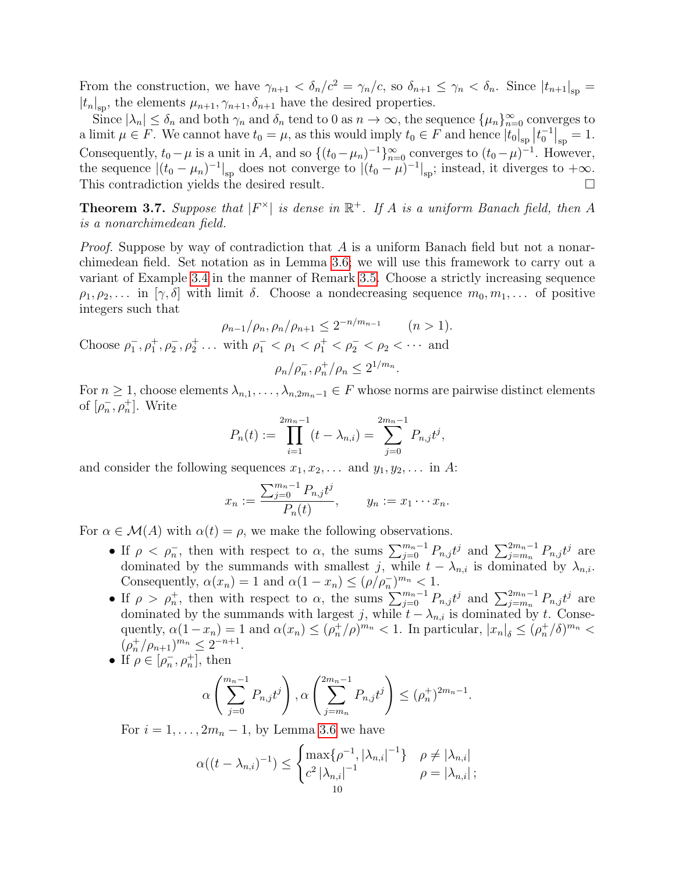From the construction, we have  $\gamma_{n+1} < \delta_n/c^2 = \gamma_n/c$ , so  $\delta_{n+1} \leq \gamma_n < \delta_n$ . Since  $|t_{n+1}|_{\text{sp}} =$  $|t_n|_{\rm sp}$ , the elements  $\mu_{n+1}, \gamma_{n+1}, \delta_{n+1}$  have the desired properties.

Since  $|\lambda_n| \leq \delta_n$  and both  $\gamma_n$  and  $\delta_n$  tend to 0 as  $n \to \infty$ , the sequence  $\{\mu_n\}_{n=0}^{\infty}$  converges to a limit  $\mu \in F$ . We cannot have  $t_0 = \mu$ , as this would imply  $t_0 \in F$  and hence  $|t_0|_{sp} | t_0^{-1}|_{sp} = 1$ . Consequently,  $t_0 - \mu$  is a unit in A, and so  $\{(t_0 - \mu_n)^{-1}\}_{n=0}^{\infty}$  converges to  $(t_0 - \mu)^{-1}$ . However, the sequence  $|(t_0 - \mu_n)^{-1}|_{\rm sp}$  does not converge to  $|(t_0 - \mu)^{-1}|_{\rm sp}$ ; instead, it diverges to  $+\infty$ . This contradiction yields the desired result.  $\Box$ 

<span id="page-9-0"></span>**Theorem 3.7.** Suppose that  $|F^{\times}|$  is dense in  $\mathbb{R}^{+}$ . If A is a uniform Banach field, then A is a nonarchimedean field.

*Proof.* Suppose by way of contradiction that A is a uniform Banach field but not a nonarchimedean field. Set notation as in Lemma [3.6;](#page-8-0) we will use this framework to carry out a variant of Example [3.4](#page-7-0) in the manner of Remark [3.5.](#page-8-1) Choose a strictly increasing sequence  $\rho_1, \rho_2, \ldots$  in  $[\gamma, \delta]$  with limit  $\delta$ . Choose a nondecreasing sequence  $m_0, m_1, \ldots$  of positive integers such that

$$
\rho_{n-1}/\rho_n, \rho_n/\rho_{n+1} \le 2^{-n/m_{n-1}} \quad (n > 1).
$$
  
Choose  $\rho_1^-, \rho_1^+, \rho_2^-, \rho_2^+$ ... with  $\rho_1^- < \rho_1 < \rho_1^+ < \rho_2^- < \rho_2 < \cdots$  and  

$$
\rho_n/\rho_n^-, \rho_n^+/\rho_n \le 2^{1/m_n}.
$$

For  $n \geq 1$ , choose elements  $\lambda_{n,1}, \ldots, \lambda_{n,2m_n-1} \in F$  whose norms are pairwise distinct elements of  $[\rho_n^-, \rho_n^+]$ . Write

$$
P_n(t) := \prod_{i=1}^{2m_n-1} (t - \lambda_{n,i}) = \sum_{j=0}^{2m_n-1} P_{n,j} t^j,
$$

and consider the following sequences  $x_1, x_2, \ldots$  and  $y_1, y_2, \ldots$  in A:

$$
x_n := \frac{\sum_{j=0}^{m_n-1} P_{n,j} t^j}{P_n(t)}, \qquad y_n := x_1 \cdots x_n.
$$

For  $\alpha \in \mathcal{M}(A)$  with  $\alpha(t) = \rho$ , we make the following observations.

- If  $\rho < \rho_n$ , then with respect to  $\alpha$ , the sums  $\sum_{j=0}^{m_n-1} P_{n,j} t^j$  and  $\sum_{j=m_n}^{2m_n-1} P_{n,j} t^j$  are dominated by the summands with smallest j, while  $t - \lambda_{n,i}$  is dominated by  $\lambda_{n,i}$ . Consequently,  $\alpha(x_n) = 1$  and  $\alpha(1 - x_n) \leq (\rho/\rho_n^{-})^{m_n} < 1$ .
- If  $ρ > ρ_n^+$ , then with respect to α, the sums  $\sum_{j=0}^{m_n-1} P_{n,j} t^j$  and  $\sum_{j=m_n}^{2m_n-1} P_{n,j} t^j$  are dominated by the summands with largest j, while  $t - \lambda_{n,i}$  is dominated by t. Consequently,  $\alpha(1-x_n) = 1$  and  $\alpha(x_n) \leq (\rho_n^+/\rho)^{m_n} < 1$ . In particular,  $|x_n|_{\delta} \leq (\rho_n^+/\delta)^{m_n} <$  $(\rho_n^+/\rho_{n+1})^{m_n} \leq 2^{-n+1}.$
- If  $\rho \in [\rho_n^-, \rho_n^+]$ , then

$$
\alpha \left( \sum_{j=0}^{m_n-1} P_{n,j} t^j \right), \alpha \left( \sum_{j=m_n}^{2m_n-1} P_{n,j} t^j \right) \le (\rho_n^+)^{2m_n-1}.
$$

For  $i = 1, \ldots, 2m_n - 1$ , by Lemma [3.6](#page-8-0) we have

$$
\alpha((t - \lambda_{n,i})^{-1}) \leq \begin{cases} \max\{\rho^{-1}, |\lambda_{n,i}|^{-1}\} & \rho \neq |\lambda_{n,i}| \\ c^2 |\lambda_{n,i}|^{-1} & \rho = |\lambda_{n,i}| \\ 10 & \end{cases};
$$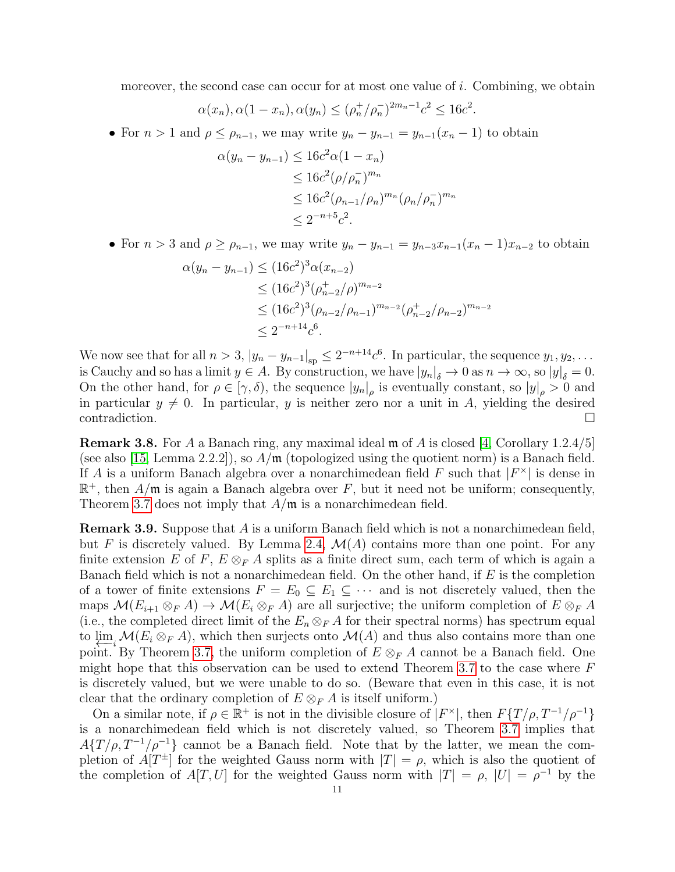moreover, the second case can occur for at most one value of i. Combining, we obtain

$$
\alpha(x_n), \alpha(1 - x_n), \alpha(y_n) \le (\rho_n^+ / \rho_n^-)^{2m_n - 1} c^2 \le 16c^2.
$$

• For  $n > 1$  and  $\rho \leq \rho_{n-1}$ , we may write  $y_n - y_{n-1} = y_{n-1}(x_n - 1)$  to obtain

$$
\alpha(y_n - y_{n-1}) \le 16c^2 \alpha (1 - x_n)
$$
  
\n
$$
\le 16c^2 (\rho/\rho_n^{-})^{m_n}
$$
  
\n
$$
\le 16c^2 (\rho_{n-1}/\rho_n)^{m_n} (\rho_n/\rho_n^{-})^{m_n}
$$
  
\n
$$
\le 2^{-n+5}c^2.
$$

• For  $n > 3$  and  $\rho \ge \rho_{n-1}$ , we may write  $y_n - y_{n-1} = y_{n-3}x_{n-1}(x_n - 1)x_{n-2}$  to obtain

$$
\alpha(y_n - y_{n-1}) \le (16c^2)^3 \alpha(x_{n-2})
$$
  
\n
$$
\le (16c^2)^3 (\rho_{n-2}^+ / \rho)^{m_{n-2}}
$$
  
\n
$$
\le (16c^2)^3 (\rho_{n-2}^+ / \rho_{n-1})^{m_{n-2}} (\rho_{n-2}^+ / \rho_{n-2})^{m_{n-2}}
$$
  
\n
$$
\le 2^{-n+14}c^6.
$$

We now see that for all  $n > 3$ ,  $|y_n - y_{n-1}|_{\text{sp}} \leq 2^{-n+14}c^6$ . In particular, the sequence  $y_1, y_2, \ldots$ is Cauchy and so has a limit  $y \in A$ . By construction, we have  $|y_n|_{\delta} \to 0$  as  $n \to \infty$ , so  $|y|_{\delta} = 0$ . On the other hand, for  $\rho \in [\gamma, \delta)$ , the sequence  $|y_n|_{\rho}$  is eventually constant, so  $|y|_{\rho} > 0$  and in particular  $y \neq 0$ . In particular, y is neither zero nor a unit in A, yielding the desired contradiction. □

<span id="page-10-1"></span>**Remark 3.8.** For A a Banach ring, any maximal ideal  $\mathfrak{m}$  of A is closed [\[4,](#page-13-5) Corollary 1.2.4/5] (see also [\[15,](#page-13-1) Lemma 2.2.2]), so  $A/\mathfrak{m}$  (topologized using the quotient norm) is a Banach field. If A is a uniform Banach algebra over a nonarchimedean field F such that  $|F^{\times}|$  is dense in  $\mathbb{R}^+$ , then  $A/\mathfrak{m}$  is again a Banach algebra over F, but it need not be uniform; consequently, Theorem [3.7](#page-9-0) does not imply that  $A/\mathfrak{m}$  is a nonarchimedean field.

<span id="page-10-0"></span>Remark 3.9. Suppose that A is a uniform Banach field which is not a nonarchimedean field, but F is discretely valued. By Lemma [2.4,](#page-3-2)  $\mathcal{M}(A)$  contains more than one point. For any finite extension E of F,  $E \otimes_F A$  splits as a finite direct sum, each term of which is again a Banach field which is not a nonarchimedean field. On the other hand, if  $E$  is the completion of a tower of finite extensions  $F = E_0 \subseteq E_1 \subseteq \cdots$  and is not discretely valued, then the maps  $\mathcal{M}(E_{i+1} \otimes_F A) \to \mathcal{M}(E_i \otimes_F A)$  are all surjective; the uniform completion of  $E \otimes_F A$ (i.e., the completed direct limit of the  $E_n \otimes_F A$  for their spectral norms) has spectrum equal to lim← $\mathcal{M}(E_i \otimes_F A)$ , which then surjects onto  $\mathcal{M}(A)$  and thus also contains more than one point. By Theorem [3.7,](#page-9-0) the uniform completion of  $E \otimes_F A$  cannot be a Banach field. One might hope that this observation can be used to extend Theorem [3.7](#page-9-0) to the case where  $F$ is discretely valued, but we were unable to do so. (Beware that even in this case, it is not clear that the ordinary completion of  $E \otimes_F A$  is itself uniform.)

On a similar note, if  $\rho \in \mathbb{R}^+$  is not in the divisible closure of  $|F^{\times}|$ , then  $F\{T/\rho, T^{-1}/\rho^{-1}\}$ is a nonarchimedean field which is not discretely valued, so Theorem [3.7](#page-9-0) implies that  $A\{T/\rho, T^{-1}/\rho^{-1}\}\$ cannot be a Banach field. Note that by the latter, we mean the completion of  $A[T^{\pm}]$  for the weighted Gauss norm with  $|T| = \rho$ , which is also the quotient of the completion of  $A[T, U]$  for the weighted Gauss norm with  $|T| = \rho$ ,  $|U| = \rho^{-1}$  by the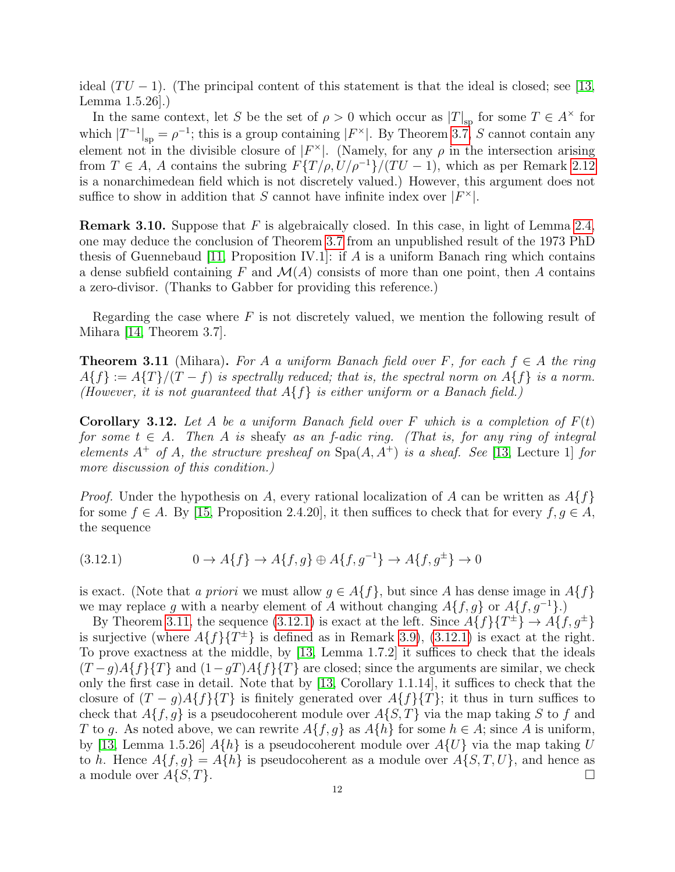ideal  $(TU - 1)$ . (The principal content of this statement is that the ideal is closed; see [\[13,](#page-13-9) Lemma 1.5.26].)

In the same context, let S be the set of  $\rho > 0$  which occur as  $|T|_{\rm sp}$  for some  $T \in A^{\times}$  for which  $|T^{-1}|_{\text{sp}} = \rho^{-1}$ ; this is a group containing  $|F^{\times}|$ . By Theorem [3.7,](#page-9-0) S cannot contain any element not in the divisible closure of  $|F^{\times}|$ . (Namely, for any  $\rho$  in the intersection arising from  $T \in A$ , A contains the subring  $F\{T/\rho, U/\rho^{-1}\}/(TU-1)$ , which as per Remark [2.12](#page-4-4) is a nonarchimedean field which is not discretely valued.) However, this argument does not suffice to show in addition that S cannot have infinite index over  $|F^{\times}|$ .

**Remark 3.10.** Suppose that F is algebraically closed. In this case, in light of Lemma [2.4,](#page-3-2) one may deduce the conclusion of Theorem [3.7](#page-9-0) from an unpublished result of the 1973 PhD thesis of Guennebaud [\[11,](#page-13-10) Proposition IV.1]: if A is a uniform Banach ring which contains a dense subfield containing F and  $\mathcal{M}(A)$  consists of more than one point, then A contains a zero-divisor. (Thanks to Gabber for providing this reference.)

Regarding the case where  $F$  is not discretely valued, we mention the following result of Mihara [\[14,](#page-13-11) Theorem 3.7].

<span id="page-11-0"></span>**Theorem 3.11** (Mihara). For A a uniform Banach field over F, for each  $f \in A$  the ring  $A\{f\} := A\{T\}/(T - f)$  is spectrally reduced; that is, the spectral norm on  $A\{f\}$  is a norm. (However, it is not guaranteed that  $A\{f\}$  is either uniform or a Banach field.)

**Corollary 3.12.** Let A be a uniform Banach field over F which is a completion of  $F(t)$ for some  $t \in A$ . Then A is sheafy as an f-adic ring. (That is, for any ring of integral elements  $A^+$  of A, the structure presheaf on  $Spa(A, A^+)$  is a sheaf. See [\[13,](#page-13-9) Lecture 1] for more discussion of this condition.)

*Proof.* Under the hypothesis on A, every rational localization of A can be written as  $A\{f\}$ for some  $f \in A$ . By [\[15,](#page-13-1) Proposition 2.4.20], it then suffices to check that for every  $f, g \in A$ , the sequence

<span id="page-11-1"></span>
$$
(3.12.1) \t\t 0 \to A\{f\} \to A\{f,g\} \oplus A\{f,g^{-1}\} \to A\{f,g^{\pm}\} \to 0
$$

is exact. (Note that a priori we must allow  $g \in A\{f\}$ , but since A has dense image in  $A\{f\}$ we may replace g with a nearby element of A without changing  $A\{f,g\}$  or  $A\{f,g^{-1}\}\$ .)

By Theorem [3.11,](#page-11-0) the sequence [\(3.12.1\)](#page-11-1) is exact at the left. Since  $A\{f\}\{T^{\pm}\}\rightarrow A\{f,g^{\pm}\}\$ is surjective (where  $A\{f\}\{T^{\pm}\}\$ is defined as in Remark [3.9\)](#page-10-0), [\(3.12.1\)](#page-11-1) is exact at the right. To prove exactness at the middle, by [\[13,](#page-13-9) Lemma 1.7.2] it suffices to check that the ideals  $(T-g)A{f}{T}$  and  $(1-gT)A{f}{T}$  are closed; since the arguments are similar, we check only the first case in detail. Note that by [\[13,](#page-13-9) Corollary 1.1.14], it suffices to check that the closure of  $(T - g)A\{f\}\{T\}$  is finitely generated over  $A\{f\}\{T\}$ ; it thus in turn suffices to check that  $A\{f,g\}$  is a pseudocoherent module over  $A\{S,T\}$  via the map taking S to f and T to g. As noted above, we can rewrite  $A\{f,g\}$  as  $A\{h\}$  for some  $h \in A$ ; since A is uniform, by [\[13,](#page-13-9) Lemma 1.5.26]  $A\{h\}$  is a pseudocoherent module over  $A\{U\}$  via the map taking U to h. Hence  $A\{f,g\} = A\{h\}$  is pseudocoherent as a module over  $A\{S,T,U\}$ , and hence as a module over  $A\{S,T\}$ .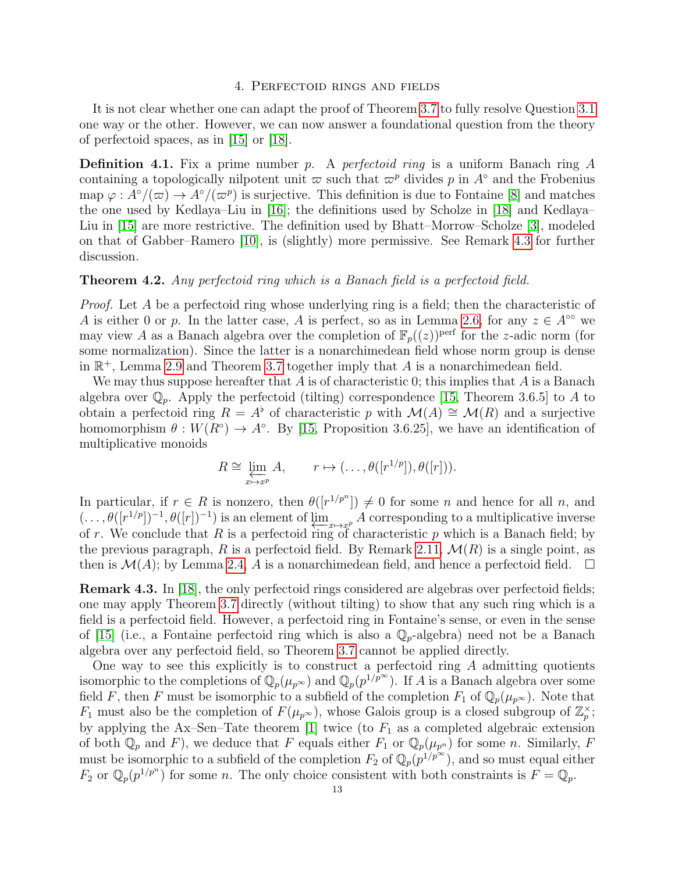# 4. Perfectoid rings and fields

It is not clear whether one can adapt the proof of Theorem [3.7](#page-9-0) to fully resolve Question [3.1](#page-7-2) one way or the other. However, we can now answer a foundational question from the theory of perfectoid spaces, as in [\[15\]](#page-13-1) or [\[18\]](#page-13-0).

**Definition 4.1.** Fix a prime number p. A perfectoid ring is a uniform Banach ring A containing a topologically nilpotent unit  $\varpi$  such that  $\varpi^p$  divides p in A<sup>°</sup> and the Frobenius map  $\varphi: A^{\circ}/(\varpi) \to A^{\circ}/(\varpi^p)$  is surjective. This definition is due to Fontaine [\[8\]](#page-13-12) and matches the one used by Kedlaya–Liu in [\[16\]](#page-13-13); the definitions used by Scholze in [\[18\]](#page-13-0) and Kedlaya– Liu in [\[15\]](#page-13-1) are more restrictive. The definition used by Bhatt–Morrow–Scholze [\[3\]](#page-13-14), modeled on that of Gabber–Ramero [\[10\]](#page-13-15), is (slightly) more permissive. See Remark [4.3](#page-12-1) for further discussion.

## <span id="page-12-0"></span>Theorem 4.2. Any perfectoid ring which is a Banach field is a perfectoid field.

Proof. Let A be a perfectoid ring whose underlying ring is a field; then the characteristic of A is either 0 or p. In the latter case, A is perfect, so as in Lemma [2.6,](#page-3-0) for any  $z \in A^{\infty}$  we may view A as a Banach algebra over the completion of  $\mathbb{F}_p((z))^{\text{perf}}$  for the z-adic norm (for some normalization). Since the latter is a nonarchimedean field whose norm group is dense in  $\mathbb{R}^+$ , Lemma [2.9](#page-3-1) and Theorem [3.7](#page-9-0) together imply that A is a nonarchimedean field.

We may thus suppose hereafter that A is of characteristic 0; this implies that A is a Banach algebra over  $\mathbb{Q}_p$ . Apply the perfectoid (tilting) correspondence [\[15,](#page-13-1) Theorem 3.6.5] to A to obtain a perfectoid ring  $R = A^{\flat}$  of characteristic p with  $\mathcal{M}(A) \cong \mathcal{M}(R)$  and a surjective homomorphism  $\theta: W(R^{\circ}) \to A^{\circ}$ . By [\[15,](#page-13-1) Proposition 3.6.25], we have an identification of multiplicative monoids

$$
R \cong \varprojlim_{x \mapsto x^p} A, \qquad r \mapsto (\dots, \theta([r^{1/p}]), \theta([r])).
$$

In particular, if  $r \in R$  is nonzero, then  $\theta([r^{1/p^n}]) \neq 0$  for some *n* and hence for all *n*, and  $(\ldots, \theta([r^{1/p}])^{-1}, \theta([r])^{-1})$  is an element of  $\varprojlim_{x \mapsto x^p} A$  corresponding to a multiplicative inverse of r. We conclude that R is a perfectoid ring of characteristic p which is a Banach field; by the previous paragraph, R is a perfectoid field. By Remark [2.11,](#page-4-1)  $\mathcal{M}(R)$  is a single point, as then is  $\mathcal{M}(A)$ ; by Lemma [2.4,](#page-3-2) A is a nonarchimedean field, and hence a perfectoid field.  $\Box$ 

<span id="page-12-1"></span>Remark 4.3. In [\[18\]](#page-13-0), the only perfectoid rings considered are algebras over perfectoid fields; one may apply Theorem [3.7](#page-9-0) directly (without tilting) to show that any such ring which is a field is a perfectoid field. However, a perfectoid ring in Fontaine's sense, or even in the sense of [\[15\]](#page-13-1) (i.e., a Fontaine perfectoid ring which is also a  $\mathbb{Q}_p$ -algebra) need not be a Banach algebra over any perfectoid field, so Theorem [3.7](#page-9-0) cannot be applied directly.

One way to see this explicitly is to construct a perfectoid ring  $A$  admitting quotients isomorphic to the completions of  $\mathbb{Q}_p(\mu_{p^{\infty}})$  and  $\mathbb{Q}_p(p^{1/p^{\infty}})$ . If A is a Banach algebra over some field F, then F must be isomorphic to a subfield of the completion  $F_1$  of  $\mathbb{Q}_p(\mu_{p^\infty})$ . Note that  $F_1$  must also be the completion of  $F(\mu_{p^{\infty}})$ , whose Galois group is a closed subgroup of  $\mathbb{Z}_p^{\times}$ ; by applying the Ax–Sen–Tate theorem [\[1\]](#page-13-16) twice (to  $F_1$  as a completed algebraic extension of both  $\mathbb{Q}_p$  and F), we deduce that F equals either  $F_1$  or  $\mathbb{Q}_p(\mu_{p^n})$  for some n. Similarly, F must be isomorphic to a subfield of the completion  $F_2$  of  $\mathbb{Q}_p(p^{1/p^{\infty}})$ , and so must equal either  $F_2$  or  $\mathbb{Q}_p(p^{1/p^n})$  for some *n*. The only choice consistent with both constraints is  $F = \mathbb{Q}_p$ .